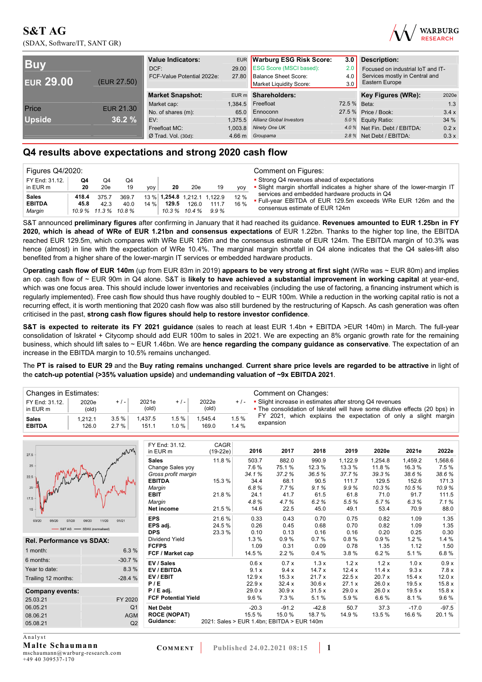(SDAX, Software/IT, SANT GR)



| <b>Buy</b><br><b>EUR 29.00</b><br>(EUR 27.50) |                  | <b>Value Indicators:</b><br>DCF:<br>FCF-Value Potential 2022e: | 27.80   | EUR Warburg ESG Risk Score:<br>29.00 ESG Score (MSCI based):<br><b>Balance Sheet Score:</b><br>Market Liquidity Score: | 3.0 <sub>1</sub><br>2.0<br>4.0<br>3.0 | <b>Description:</b><br>Focused on industrial IoT and IT-<br>Services mostly in Central and<br>Eastern Europe |       |  |
|-----------------------------------------------|------------------|----------------------------------------------------------------|---------|------------------------------------------------------------------------------------------------------------------------|---------------------------------------|--------------------------------------------------------------------------------------------------------------|-------|--|
|                                               |                  | <b>Market Snapshot:</b>                                        |         | EUR m Shareholders:                                                                                                    |                                       | Key Figures (WRe):                                                                                           | 2020e |  |
| Price                                         | <b>EUR 21.30</b> | Market cap:                                                    | 1.384.5 | Freefloat                                                                                                              | 72.5 % Beta:                          |                                                                                                              | 1.3   |  |
|                                               |                  | No. of shares (m):                                             |         | 65.0 Ennoconn                                                                                                          |                                       | 27.5 % Price / Book:                                                                                         | 3.4x  |  |
| <b>Upside</b>                                 | 36.2%            | EV:                                                            | 1.375.5 | <b>Allianz Global Investors</b>                                                                                        |                                       | 5.0 % Equity Ratio:                                                                                          | 34 %  |  |
|                                               |                  | Freefloat MC:                                                  | 1.003.8 | Ninety One UK                                                                                                          |                                       | 4.0 % Net Fin. Debt / EBITDA:                                                                                | 0.2 x |  |
|                                               |                  | $Ø$ Trad. Vol. (30d):                                          |         | 4.66 m Groupama                                                                                                        |                                       | 2.8 % Net Debt / EBITDA:                                                                                     | 0.3x  |  |

### **Q4 results above expectations and strong 2020 cash flow**

| Figures Q4/2020:                        |               |               |                                       |         |                         |       |                                               |              | Comment on Figures:                                                                                                                              |
|-----------------------------------------|---------------|---------------|---------------------------------------|---------|-------------------------|-------|-----------------------------------------------|--------------|--------------------------------------------------------------------------------------------------------------------------------------------------|
| FY End: 31.12.<br>in EUR m              | Q4<br>20      | O4<br>20e     | Q4<br>19                              | yoy     | 20                      | 20e   | 19                                            | <b>VOV</b>   | • Strong Q4 revenues ahead of expectations<br>• Slight margin shortfall indicates a higher share of the lower-margin IT                          |
| <b>Sales</b><br><b>EBITDA</b><br>Marqin | 418.4<br>45.8 | 375.7<br>42.3 | 369.7<br>40.0<br>10.9 % 11.3 % 10.8 % | $14 \%$ | 129.5<br>$10.3\%$ 10.4% | 126.0 | 13 % 1.254.8 1.212.1 1.122.9<br>111.7<br>9.9% | 12 %<br>16 % | services and embedded hardware products in Q4<br>. Full-year EBITDA of EUR 129.5m exceeds WRe EUR 126m and the<br>consensus estimate of EUR 124m |

S&T announced **preliminary figures** after confirming in January that it had reached its guidance. **Revenues amounted to EUR 1.25bn in FY 2020, which is ahead of WRe of EUR 1.21bn and consensus expectations** of EUR 1.22bn. Thanks to the higher top line, the EBITDA reached EUR 129.5m, which compares with WRe EUR 126m and the consensus estimate of EUR 124m. The EBITDA margin of 10.3% was hence (almost) in line with the expectation of WRe 10.4%. The marginal margin shortfall in Q4 alone indicates that the Q4 sales-lift also benefited from a higher share of the lower-margin IT services or embedded hardware products.

O**perating cash flow of EUR 140m** (up from EUR 83m in 2019) **appears to be very strong at first sight** (WRe was ~ EUR 80m) and implies an op. cash flow of ~ EUR 90m in Q4 alone. S&T is **likely to have achieved a substantial improvement in working capital** at year-end, which was one focus area. This should include lower inventories and receivables (including the use of factoring, a financing instrument which is regularly implemented). Free cash flow should thus have roughly doubled to ~ EUR 100m. While a reduction in the working capital ratio is not a recurring effect, it is worth mentioning that 2020 cash flow was also still burdened by the restructuring of Kapsch. As cash generation was often criticised in the past, **strong cash flow figures should help to restore investor confidence**.

**S&T is expected to reiterate its FY 2021 guidance** (sales to reach at least EUR 1.4bn + EBITDA >EUR 140m) in March. The full-year consolidation of Iskratel + Citycomp should add EUR 100m to sales in 2021. We are expecting an 8% organic growth rate for the remaining business, which should lift sales to ~ EUR 1.46bn. We are **hence regarding the company guidance as conservative**. The expectation of an increase in the EBITDA margin to 10.5% remains unchanged.

The **PT is raised to EUR 29** and the **Buy rating remains unchanged**. **Current share price levels are regarded to be attractive** in light of the **catch-up potential (>35% valuation upside)** and **undemanding valuation of ~9x EBITDA 2021**.

|                               | Changes in Estimates: |              |                         |              |                 |              | Comment on Changes:                                                                                                                    |  |  |  |  |
|-------------------------------|-----------------------|--------------|-------------------------|--------------|-----------------|--------------|----------------------------------------------------------------------------------------------------------------------------------------|--|--|--|--|
| FY End: 31.12.<br>in EUR m    | 2020e<br>(old)        | $+/-$        | 2021e<br>$\text{(old)}$ | $+ 1 -$      | 2022e<br>(old)  | $+$ / -      | • Slight increase in estimates after strong Q4 revenues<br>• The consolidation of Iskratel will have some dilutive effects (20 bps) in |  |  |  |  |
| <b>Sales</b><br><b>EBITDA</b> | 1.212.1<br>126.0      | 3.5%<br>2.7% | 1.437.5<br>151.1        | 1.5%<br>1.0% | .545.4<br>169.0 | 1.5%<br>1.4% | FY 2021, which explains the expectation of only a slight margin<br>expansion                                                           |  |  |  |  |

| 27.5                             | Win            | FY End: 31.12.<br>in EUR m | CAGR<br>$(19-22e)$                         | 2016    | 2017    | 2018    | 2019    | 2020e   | 2021e   | 2022e   |
|----------------------------------|----------------|----------------------------|--------------------------------------------|---------|---------|---------|---------|---------|---------|---------|
|                                  |                | <b>Sales</b>               | 11.8 %                                     | 503.7   | 882.0   | 990.9   | 1,122.9 | 1.254.8 | 1,459.2 | 1,568.6 |
| 25                               |                | Change Sales yoy           |                                            | 7.6%    | 75.1%   | 12.3 %  | 13.3 %  | 11.8%   | 16.3%   | 7.5 %   |
| 22.5                             |                | Gross profit margin        |                                            | 34.1%   | 37.2%   | 36.5%   | 37.7%   | 39.3%   | 38.6%   | 38.6%   |
|                                  |                | <b>EBITDA</b>              | 15.3 %                                     | 34.4    | 68.1    | 90.5    | 111.7   | 129.5   | 152.6   | 171.3   |
| $20\,$                           |                | Margin                     |                                            | 6.8%    | 7.7%    | 9.1%    | 9.9%    | 10.3%   | 10.5%   | 10.9%   |
| 17.5                             |                | <b>EBIT</b>                | 21.8%                                      | 24.1    | 41.7    | 61.5    | 61.8    | 71.0    | 91.7    | 111.5   |
|                                  |                | Margin                     |                                            | 4.8%    | 4.7%    | 6.2%    | 5.5%    | 5.7%    | 6.3%    | 7.1%    |
| $15 -$                           |                | Net income                 | 21.5 %                                     | 14.6    | 22.5    | 45.0    | 49.1    | 53.4    | 70.9    | 88.0    |
| 03/20<br>05/20<br>07/20<br>09/20 | 01/21<br>11/20 | <b>EPS</b>                 | 21.6 %                                     | 0.33    | 0.43    | 0.70    | 0.75    | 0.82    | 1.09    | 1.35    |
| -S&T AG -SDAX (normalised)       |                | EPS adj.                   | 24.5 %                                     | 0.26    | 0.45    | 0.68    | 0.70    | 0.82    | 1.09    | 1.35    |
|                                  |                | <b>DPS</b>                 | 23.3 %                                     | 0.10    | 0.13    | 0.16    | 0.16    | 0.20    | 0.25    | 0.30    |
| <b>Rel. Performance vs SDAX:</b> |                | Dividend Yield             |                                            | 1.3%    | 0.9%    | 0.7%    | 0.8%    | 0.9%    | 1.2%    | 1.4%    |
| 1 month:                         |                | <b>FCFPS</b>               |                                            | 1.09    | 0.31    | 0.09    | 0.78    | 1.35    | 1.12    | 1.50    |
|                                  | 6.3%           | FCF / Market cap           |                                            | 14.5 %  | 2.2%    | 0.4%    | 3.8%    | 6.2%    | 5.1%    | 6.8%    |
| 6 months:                        | $-30.7%$       | EV / Sales                 |                                            | 0.6x    | 0.7x    | 1.3x    | 1.2x    | 1.2x    | 1.0 x   | 0.9x    |
| Year to date:                    | 8.3%           | EV / EBITDA                |                                            | 9.1 x   | 9.4x    | 14.7x   | 12.4 x  | 11.4x   | 9.3 x   | 7.8x    |
| Trailing 12 months:              | $-28.4%$       | EV/EBIT                    |                                            | 12.9x   | 15.3x   | 21.7x   | 22.5x   | 20.7x   | 15.4 x  | 12.0x   |
|                                  |                | P/E                        |                                            | 22.9x   | 32.4x   | 30.6x   | 27.1 x  | 26.0x   | 19.5x   | 15.8x   |
| <b>Company events:</b>           |                | $P / E$ adj.               |                                            | 29.0x   | 30.9x   | 31.5x   | 29.0x   | 26.0x   | 19.5x   | 15.8x   |
| 25.03.21                         | FY 2020        | <b>FCF Potential Yield</b> |                                            | $9.6\%$ | 7.3 %   | 5.1%    | 5.9%    | 6.6%    | 8.1%    | 9.6%    |
| 06.05.21                         | Q <sub>1</sub> | <b>Net Debt</b>            |                                            | $-20.3$ | $-91.2$ | $-42.8$ | 50.7    | 37.3    | $-17.0$ | $-97.5$ |
| 08.06.21                         | <b>AGM</b>     | <b>ROCE (NOPAT)</b>        |                                            | 15.5 %  | 15.0%   | 18.7 %  | 14.9%   | 13.5 %  | 16.6%   | 20.1%   |
| 05.08.21                         | Q2             | Guidance:                  | 2021: Sales > EUR 1.4bn; EBITDA > EUR 140m |         |         |         |         |         |         |         |
| Analyst                          |                |                            |                                            |         |         |         |         |         |         |         |

**Malte Schaumann**  mschaumann@warburg-research.com +49 40 309537-170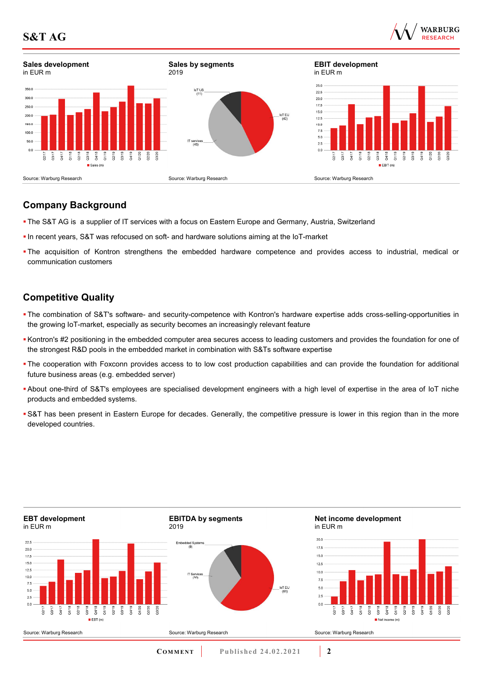

## **Company Background**

- The S&T AG is a supplier of IT services with a focus on Eastern Europe and Germany, Austria, Switzerland
- In recent years, S&T was refocused on soft- and hardware solutions aiming at the IoT-market
- The acquisition of Kontron strengthens the embedded hardware competence and provides access to industrial, medical or communication customers

## **Competitive Quality**

- The combination of S&T's software- and security-competence with Kontron's hardware expertise adds cross-selling-opportunities in the growing IoT-market, especially as security becomes an increasingly relevant feature
- Kontron's #2 positioning in the embedded computer area secures access to leading customers and provides the foundation for one of the strongest R&D pools in the embedded market in combination with S&Ts software expertise
- The cooperation with Foxconn provides access to to low cost production capabilities and can provide the foundation for additional future business areas (e.g. embedded server)
- About one-third of S&T's employees are specialised development engineers with a high level of expertise in the area of IoT niche products and embedded systems.
- S&T has been present in Eastern Europe for decades. Generally, the competitive pressure is lower in this region than in the more developed countries.

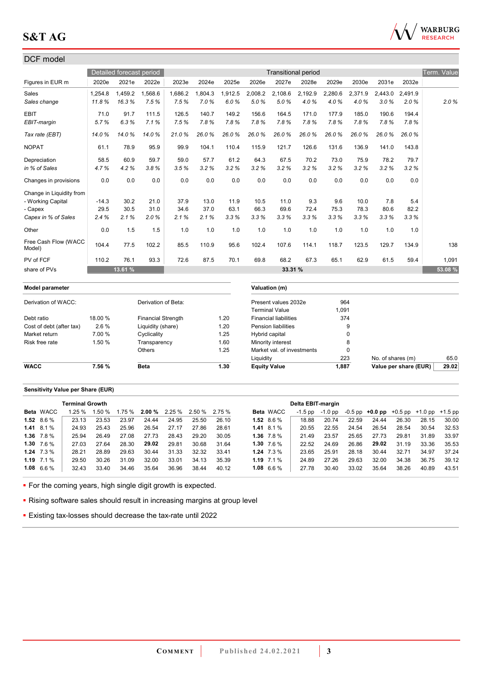

### DCF model Detailed forecast period **Transitional period** Transitional period Transitional period Transitional period Term. Value Figures in EUR m 2020e 2021e 2022e 2023e 2024e 2025e 2026e 2027e 2028e 2029e 2030e 2031e 2032e Sales 1,254.8 1,459.2 1,568.6 1,686.2 1,804.3 1,912.5 2,008.2 2,108.6 2,192.9 2,280.6 2,371.9 2,443.0 2,491.9 *Sales change 11.8 % 16.3 % 7.5 % 7.5 % 7.0 % 6.0 % 5.0 % 5.0 % 4.0 % 4.0 % 4.0 % 3.0 % 2.0 % 2.0 %* EBIT 71.0 91.7 111.5 126.5 140.7 149.2 156.6 164.5 171.0 177.9 185.0 190.6 194.4 *EBIT-margin 5.7 % 6.3 % 7.1 % 7.5 % 7.8 % 7.8 % 7.8 % 7.8 % 7.8 % 7.8 % 7.8 % 7.8 % 7.8 % Tax rate (EBT) 14.0 % 14.0 % 14.0 % 21.0 % 26.0 % 26.0 % 26.0 % 26.0 % 26.0 % 26.0 % 26.0 % 26.0 % 26.0 %*  NOPAT 61.1 78.9 95.9 99.9 104.1 110.4 115.9 121.7 126.6 131.6 136.9 141.0 143.8 Depreciation 58.5 60.9 59.7 59.0 57.7 61.2 64.3 67.5 70.2 73.0 75.9 78.2 79.7 *in % of Sales 4.7 % 4.2 % 3.8 % 3.5 % 3.2 % 3.2 % 3.2 % 3.2 % 3.2 % 3.2 % 3.2 % 3.2 % 3.2 %*  Changes in provisions 0.0 0.0 0.0 0.0 0.0 0.0 0.0 0.0 0.0 0.0 0.0 0.0 0.0 Change in Liquidity from - Working Capital -14.3 30.2 21.0 37.9 13.0 11.9 10.5 11.0 9.3 9.6 10.0 7.8 5.4 - Capex 29.5 30.5 31.0 34.6 37.0 63.1 66.3 69.6 72.4 75.3 78.3 80.6 82.2 *Capex in % of Sales 2.4 % 2.1 % 2.0 % 2.1 % 2.1 % 3.3 % 3.3 % 3.3 % 3.3 % 3.3 % 3.3 % 3.3 % 3.3 %*  Other 1.5 1.0 1.0 1.0 1.0 1.0 1.0 1.0 1.0 1.0 Free Cash Flow (WACC<br>Model) 1100 0dsh116w (w/h0O | 104.4 77.5 102.2 | 85.5 110.9 95.6 102.4 107.6 114.1 118.7 123.5 129.7 134.9 | 138<br>Model) PV of FCF 110.2 76.1 93.3 72.6 87.5 70.1 69.8 68.2 67.3 65.1 62.9 61.5 59.4 1,091 share of PVs **13.61 % 33.31 % 53.08 % Model parameter Valuation (m)** Derivation of WACC: Derivation of Beta: Present values 2032e 964 Terminal Value 1,091 Debt ratio 18.00 % Financial Strength 1.20 Financial liabilities 374 Cost of debt (after tax) 2.6 % Liquidity (share) 1.20 Pension liabilities 9

| WACC           | 7.56 % | <b>Beta</b>  | .30.، | <b>Equity Value</b>        | 1,887 | Value per share (EUR) | 29.02 |
|----------------|--------|--------------|-------|----------------------------|-------|-----------------------|-------|
|                |        |              |       | Liquidity                  | 223   | No. of shares (m)     | 65.0  |
|                |        | Others       | 1.25  | Market val. of investments |       |                       |       |
| Risk free rate | .50%   | Transparencv | .60   | Minority interest          |       |                       |       |
| Market return  | 7.00 % | Cvclicality  | 1.25  | Hybrid capital             |       |                       |       |

#### **Sensitivity Value per Share (EUR)**

|                  | <b>Terminal Growth</b> |        |       |                                      |       |       |       |                  | Delta EBIT-margin |         |       |                                                   |       |       |       |
|------------------|------------------------|--------|-------|--------------------------------------|-------|-------|-------|------------------|-------------------|---------|-------|---------------------------------------------------|-------|-------|-------|
| <b>Beta WACC</b> | 1.25%                  | 1.50 % |       | $1.75\%$ 2.00 % 2.25 % 2.50 % 2.75 % |       |       |       | <b>Beta WACC</b> | -1.5 pp           | -1.0 pp |       | $-0.5$ pp $+0.0$ pp $+0.5$ pp $+1.0$ pp $+1.5$ pp |       |       |       |
| 1.52 $8.6\%$     | 23.13                  | 23.53  | 23.97 | 24.44                                | 24.95 | 25.50 | 26.10 | 1.52 $8.6\%$     | 18.88             | 20.74   | 22.59 | 24.44                                             | 26.30 | 28.15 | 30.00 |
| $1.41 \t8.1\%$   | 24.93                  | 25.43  | 25.96 | 26.54                                | 27.17 | 27.86 | 28.61 | $1.41 \t8.1\%$   | 20.55             | 22.55   | 24.54 | 26.54                                             | 28.54 | 30.54 | 32.53 |
| 1.36 $7.8\%$     | 25.94                  | 26.49  | 27.08 | 27.73                                | 28.43 | 29.20 | 30.05 | 1.36 $7.8\%$     | 21.49             | 23.57   | 25.65 | 27.73                                             | 29.81 | 31.89 | 33.97 |
| $1.30$ $7.6\%$   | 27.03                  | 27.64  | 28.30 | 29.02                                | 29.81 | 30.68 | 31.64 | 1.30 $7.6\%$     | 22.52             | 24.69   | 26.86 | 29.02                                             | 31.19 | 33.36 | 35.53 |
| $1.24$ $7.3\%$   | 28.21                  | 28.89  | 29.63 | 30.44                                | 31.33 | 32.32 | 33.41 | $1.24$ 7.3 %     | 23.65             | 25.91   | 28.18 | 30.44                                             | 32.71 | 34.97 | 37.24 |
| 1.19 $7.1\%$     | 29.50                  | 30.26  | 31.09 | 32.00                                | 33.01 | 34.13 | 35.39 | 1.19 $7.1\%$     | 24.89             | 27.26   | 29.63 | 32.00                                             | 34.38 | 36.75 | 39.12 |
| 1.08 $6.6\%$     | 32.43                  | 33.40  | 34.46 | 35.64                                | 36.96 | 38.44 | 40.12 | 1.08 $6.6\%$     | 27.78             | 30.40   | 33.02 | 35.64                                             | 38.26 | 40.89 | 43.51 |

• For the coming years, high single digit growth is expected.

**Rising software sales should result in increasing margins at group level** 

Existing tax-losses should decrease the tax-rate until 2022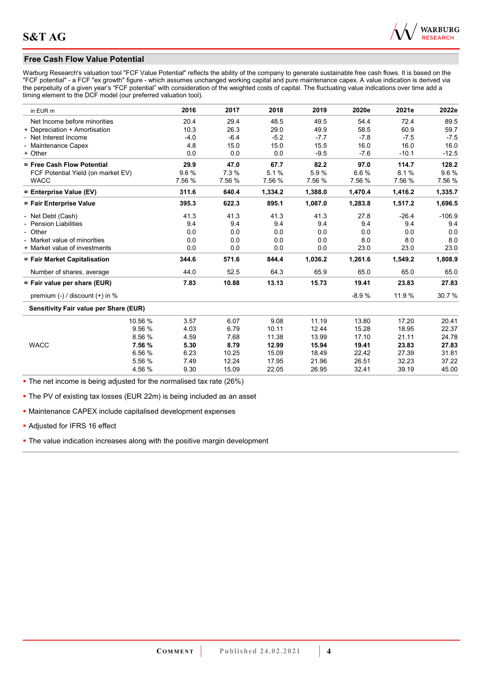

#### **Free Cash Flow Value Potential**

Warburg Research's valuation tool "FCF Value Potential" reflects the ability of the company to generate sustainable free cash flows. It is based on the "FCF potential" - a FCF "ex growth" figure - which assumes unchanged working capital and pure maintenance capex. A value indication is derived via the perpetuity of a given year's "FCF potential" with consideration of the weighted costs of capital. The fluctuating value indications over time add a timing element to the DCF model (our preferred valuation tool).

| in EUR m                                      | 2016   | 2017   | 2018    | 2019    | 2020e   | 2021e   | 2022e    |
|-----------------------------------------------|--------|--------|---------|---------|---------|---------|----------|
| Net Income before minorities                  | 20.4   | 29.4   | 48.5    | 49.5    | 54.4    | 72.4    | 89.5     |
| + Depreciation + Amortisation                 | 10.3   | 26.3   | 29.0    | 49.9    | 58.5    | 60.9    | 59.7     |
| - Net Interest Income                         | $-4.0$ | $-6.4$ | $-5.2$  | $-7.7$  | $-7.8$  | $-7.5$  | $-7.5$   |
| <b>Maintenance Capex</b>                      | 4.8    | 15.0   | 15.0    | 15.5    | 16.0    | 16.0    | 16.0     |
| + Other                                       | 0.0    | 0.0    | 0.0     | $-9.5$  | $-7.6$  | $-10.1$ | $-12.5$  |
| = Free Cash Flow Potential                    | 29.9   | 47.0   | 67.7    | 82.2    | 97.0    | 114.7   | 128.2    |
| FCF Potential Yield (on market EV)            | 9.6%   | 7.3%   | 5.1%    | 5.9%    | 6.6%    | 8.1%    | 9.6%     |
| <b>WACC</b>                                   | 7.56 % | 7.56 % | 7.56 %  | 7.56 %  | 7.56 %  | 7.56 %  | 7.56 %   |
| = Enterprise Value (EV)                       | 311.6  | 640.4  | 1,334.2 | 1,388.0 | 1,470.4 | 1,416.2 | 1,335.7  |
| = Fair Enterprise Value                       | 395.3  | 622.3  | 895.1   | 1,087.0 | 1,283.8 | 1,517.2 | 1,696.5  |
| - Net Debt (Cash)                             | 41.3   | 41.3   | 41.3    | 41.3    | 27.8    | $-26.4$ | $-106.9$ |
| <b>Pension Liabilities</b>                    | 9.4    | 9.4    | 9.4     | 9.4     | 9.4     | 9.4     | 9.4      |
| - Other                                       | 0.0    | 0.0    | 0.0     | 0.0     | 0.0     | 0.0     | 0.0      |
| - Market value of minorities                  | 0.0    | 0.0    | 0.0     | 0.0     | 8.0     | 8.0     | 8.0      |
| + Market value of investments                 | 0.0    | 0.0    | 0.0     | 0.0     | 23.0    | 23.0    | 23.0     |
| = Fair Market Capitalisation                  | 344.6  | 571.6  | 844.4   | 1,036.2 | 1,261.6 | 1,549.2 | 1,808.9  |
| Number of shares, average                     | 44.0   | 52.5   | 64.3    | 65.9    | 65.0    | 65.0    | 65.0     |
| = Fair value per share (EUR)                  | 7.83   | 10.88  | 13.13   | 15.73   | 19.41   | 23.83   | 27.83    |
| premium (-) / discount (+) in %               |        |        |         |         | $-8.9%$ | 11.9 %  | 30.7%    |
| <b>Sensitivity Fair value per Share (EUR)</b> |        |        |         |         |         |         |          |
| 10.56 %                                       | 3.57   | 6.07   | 9.08    | 11.19   | 13.80   | 17.20   | 20.41    |
| 9.56 %                                        | 4.03   | 6.79   | 10.11   | 12.44   | 15.28   | 18.95   | 22.37    |
| 8.56 %                                        | 4.59   | 7.68   | 11.38   | 13.99   | 17.10   | 21.11   | 24.78    |
| <b>WACC</b><br>7.56 %                         | 5.30   | 8.79   | 12.99   | 15.94   | 19.41   | 23.83   | 27.83    |
| 6.56 %                                        | 6.23   | 10.25  | 15.09   | 18.49   | 22.42   | 27.39   | 31.81    |
| 5.56 %                                        | 7.49   | 12.24  | 17.95   | 21.96   | 26.51   | 32.23   | 37.22    |
| 4.56 %                                        | 9.30   | 15.09  | 22.05   | 26.95   | 32.41   | 39.19   | 45.00    |

• The net income is being adjusted for the normalised tax rate (26%)

**The PV of existing tax losses (EUR 22m) is being included as an asset** 

Maintenance CAPEX include capitalised development expenses

Adjusted for IFRS 16 effect

• The value indication increases along with the positive margin development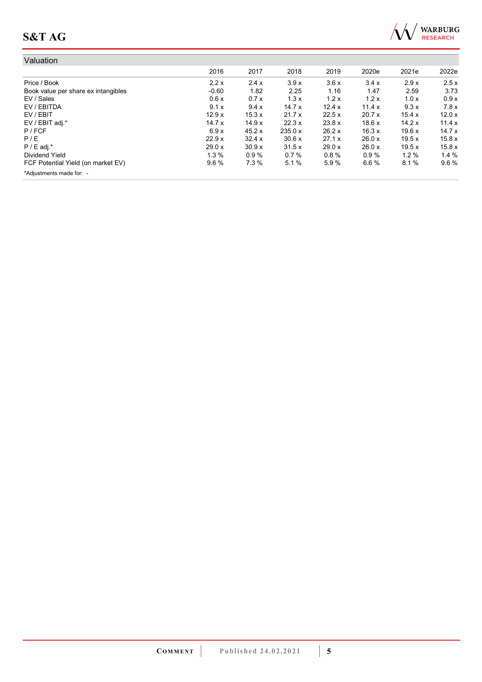

| Valuation                           |         |        |         |        |        |       |       |
|-------------------------------------|---------|--------|---------|--------|--------|-------|-------|
|                                     | 2016    | 2017   | 2018    | 2019   | 2020e  | 2021e | 2022e |
| Price / Book                        | 2.2x    | 2.4x   | 3.9x    | 3.6x   | 3.4x   | 2.9x  | 2.5x  |
| Book value per share ex intangibles | $-0.60$ | 1.82   | 2.25    | 1.16   | 1.47   | 2.59  | 3.73  |
| EV / Sales                          | 0.6x    | 0.7x   | 1.3x    | 1.2x   | 1.2x   | 1.0x  | 0.9x  |
| EV / EBITDA                         | 9.1x    | 9.4x   | 14.7x   | 12.4 x | 11.4x  | 9.3x  | 7.8x  |
| EV / EBIT                           | 12.9x   | 15.3 x | 21.7x   | 22.5 x | 20.7 x | 15.4x | 12.0x |
| EV / EBIT adj.*                     | 14.7x   | 14.9x  | 22.3x   | 23.8 x | 18.6x  | 14.2x | 11.4x |
| P / FCF                             | 6.9x    | 45.2 x | 235.0 x | 26.2 x | 16.3x  | 19.6x | 14.7x |
| P/E                                 | 22.9 x  | 32.4 x | 30.6x   | 27.1 x | 26.0 x | 19.5x | 15.8x |
| $P / E$ adj.*                       | 29.0 x  | 30.9x  | 31.5x   | 29.0 x | 26.0x  | 19.5x | 15.8x |
| Dividend Yield                      | $1.3\%$ | 0.9%   | 0.7%    | 0.8%   | 0.9%   | 1.2%  | 1.4%  |
| FCF Potential Yield (on market EV)  | $9.6\%$ | 7.3%   | 5.1%    | 5.9%   | 6.6%   | 8.1%  | 9.6%  |
| *Adjustments made for: -            |         |        |         |        |        |       |       |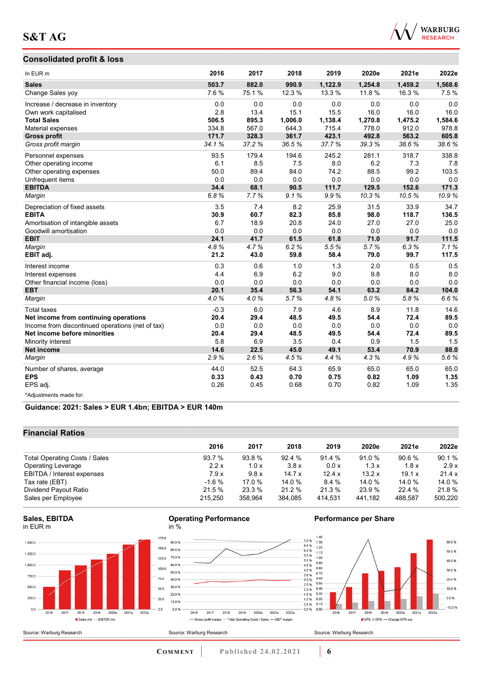#### **Consolidated profit & loss**



| In EUR <sub>m</sub>                              | 2016   | 2017  | 2018    | 2019    | 2020e   | 2021e   | 2022e   |
|--------------------------------------------------|--------|-------|---------|---------|---------|---------|---------|
| <b>Sales</b>                                     | 503.7  | 882.0 | 990.9   | 1,122.9 | 1,254.8 | 1,459.2 | 1,568.6 |
| Change Sales yoy                                 | 7.6%   | 75.1% | 12.3 %  | 13.3 %  | 11.8 %  | 16.3%   | 7.5%    |
| Increase / decrease in inventory                 | 0.0    | 0.0   | 0.0     | 0.0     | 0.0     | 0.0     | 0.0     |
| Own work capitalised                             | 2.8    | 13.4  | 15.1    | 15.5    | 16.0    | 16.0    | 16.0    |
| <b>Total Sales</b>                               | 506.5  | 895.3 | 1,006.0 | 1,138.4 | 1,270.8 | 1,475.2 | 1,584.6 |
| Material expenses                                | 334.8  | 567.0 | 644.3   | 715.4   | 778.0   | 912.0   | 978.8   |
| <b>Gross profit</b>                              | 171.7  | 328.3 | 361.7   | 423.1   | 492.8   | 563.2   | 605.8   |
| Gross profit margin                              | 34.1%  | 37.2% | 36.5%   | 37.7%   | 39.3%   | 38.6%   | 38.6%   |
| Personnel expenses                               | 93.5   | 179.4 | 194.6   | 245.2   | 281.1   | 318.7   | 338.8   |
| Other operating income                           | 6.1    | 8.5   | 7.5     | 8.0     | 6.2     | 7.3     | 7.8     |
| Other operating expenses                         | 50.0   | 89.4  | 84.0    | 74.2    | 88.5    | 99.2    | 103.5   |
| Unfrequent items                                 | 0.0    | 0.0   | 0.0     | 0.0     | 0.0     | 0.0     | 0.0     |
| <b>EBITDA</b>                                    | 34.4   | 68.1  | 90.5    | 111.7   | 129.5   | 152.6   | 171.3   |
| Margin                                           | 6.8%   | 7.7%  | 9.1%    | 9.9%    | 10.3%   | 10.5%   | 10.9%   |
| Depreciation of fixed assets                     | 3.5    | 7.4   | 8.2     | 25.9    | 31.5    | 33.9    | 34.7    |
| <b>EBITA</b>                                     | 30.9   | 60.7  | 82.3    | 85.8    | 98.0    | 118.7   | 136.5   |
| Amortisation of intangible assets                | 6.7    | 18.9  | 20.8    | 24.0    | 27.0    | 27.0    | 25.0    |
| Goodwill amortisation                            | 0.0    | 0.0   | 0.0     | 0.0     | 0.0     | 0.0     | 0.0     |
| <b>EBIT</b>                                      | 24.1   | 41.7  | 61.5    | 61.8    | 71.0    | 91.7    | 111.5   |
| Margin                                           | 4.8%   | 4.7%  | 6.2%    | 5.5%    | 5.7%    | 6.3%    | 7.1%    |
| EBIT adj.                                        | 21.2   | 43.0  | 59.8    | 58.4    | 79.0    | 99.7    | 117.5   |
| Interest income                                  | 0.3    | 0.6   | 1.0     | 1.3     | 2.0     | 0.5     | 0.5     |
| Interest expenses                                | 4.4    | 6.9   | 6.2     | 9.0     | 9.8     | 8.0     | 8.0     |
| Other financial income (loss)                    | 0.0    | 0.0   | 0.0     | 0.0     | 0.0     | 0.0     | 0.0     |
| <b>EBT</b>                                       | 20.1   | 35.4  | 56.3    | 54.1    | 63.2    | 84.2    | 104.0   |
| Margin                                           | 4.0%   | 4.0%  | 5.7%    | 4.8%    | 5.0%    | 5.8%    | 6.6%    |
| <b>Total taxes</b>                               | $-0.3$ | 6.0   | 7.9     | 4.6     | 8.9     | 11.8    | 14.6    |
| Net income from continuing operations            | 20.4   | 29.4  | 48.5    | 49.5    | 54.4    | 72.4    | 89.5    |
| Income from discontinued operations (net of tax) | 0.0    | 0.0   | 0.0     | 0.0     | 0.0     | 0.0     | 0.0     |
| Net income before minorities                     | 20.4   | 29.4  | 48.5    | 49.5    | 54.4    | 72.4    | 89.5    |
| Minority interest                                | 5.8    | 6.9   | 3.5     | 0.4     | 0.9     | 1.5     | 1.5     |
| <b>Net income</b>                                | 14.6   | 22.5  | 45.0    | 49.1    | 53.4    | 70.9    | 88.0    |
| Margin                                           | 2.9%   | 2.6%  | 4.5%    | 4.4%    | 4.3%    | 4.9%    | 5.6%    |
| Number of shares, average                        | 44.0   | 52.5  | 64.3    | 65.9    | 65.0    | 65.0    | 65.0    |
| <b>EPS</b>                                       | 0.33   | 0.43  | 0.70    | 0.75    | 0.82    | 1.09    | 1.35    |
| EPS adj.                                         | 0.26   | 0.45  | 0.68    | 0.70    | 0.82    | 1.09    | 1.35    |
| *Adjustments made for:                           |        |       |         |         |         |         |         |

#### **Guidance: 2021: Sales > EUR 1.4bn; EBITDA > EUR 140m**

#### **Financial Ratios**

| 2017    | 2018    | 2019    | 2020e   | 2021e   | 2022e   |
|---------|---------|---------|---------|---------|---------|
| 93.8 %  | 92.4%   | 91.4%   | 91.0%   | 90.6%   | 90.1%   |
| 1.0x    | 3.8x    | 0.0 x   | 1.3x    | 1.8x    | 2.9x    |
| 9.8x    | 14.7x   | 12.4 x  | 13.2x   | 19.1 x  | 21.4 x  |
| 17.0 %  | 14.0 %  | 8.4 %   | 14.0 %  | 14.0 %  | 14.0 %  |
| 23.3 %  | 21.2%   | 21.3%   | 23.9 %  | 22.4 %  | 21.8%   |
| 358.964 | 384,085 | 414,531 | 441.182 | 488,587 | 500,220 |
|         |         |         |         |         |         |

2016 2017 2018 2019 2020e 2021e 2022e

- Gross profit margin - Total Operating Costs / Sales - EBIT margin







**Performance per Share** 



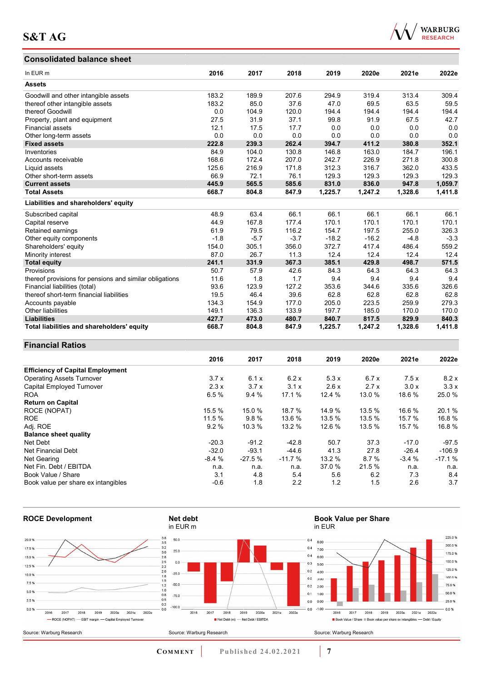## **Consolidated balance sheet**



| <b>Consolidated balance sheet</b>                       |        |        |        |         |         |         |         |
|---------------------------------------------------------|--------|--------|--------|---------|---------|---------|---------|
| In EUR m                                                | 2016   | 2017   | 2018   | 2019    | 2020e   | 2021e   | 2022e   |
| <b>Assets</b>                                           |        |        |        |         |         |         |         |
| Goodwill and other intangible assets                    | 183.2  | 189.9  | 207.6  | 294.9   | 319.4   | 313.4   | 309.4   |
| thereof other intangible assets                         | 183.2  | 85.0   | 37.6   | 47.0    | 69.5    | 63.5    | 59.5    |
| thereof Goodwill                                        | 0.0    | 104.9  | 120.0  | 194.4   | 194.4   | 194.4   | 194.4   |
| Property, plant and equipment                           | 27.5   | 31.9   | 37.1   | 99.8    | 91.9    | 67.5    | 42.7    |
| <b>Financial assets</b>                                 | 12.1   | 17.5   | 17.7   | 0.0     | 0.0     | 0.0     | 0.0     |
| Other long-term assets                                  | 0.0    | 0.0    | 0.0    | 0.0     | 0.0     | 0.0     | 0.0     |
| <b>Fixed assets</b>                                     | 222.8  | 239.3  | 262.4  | 394.7   | 411.2   | 380.8   | 352.1   |
| Inventories                                             | 84.9   | 104.0  | 130.8  | 146.8   | 163.0   | 184.7   | 196.1   |
| Accounts receivable                                     | 168.6  | 172.4  | 207.0  | 242.7   | 226.9   | 271.8   | 300.8   |
| Liquid assets                                           | 125.6  | 216.9  | 171.8  | 312.3   | 316.7   | 362.0   | 433.5   |
| Other short-term assets                                 | 66.9   | 72.1   | 76.1   | 129.3   | 129.3   | 129.3   | 129.3   |
| <b>Current assets</b>                                   | 445.9  | 565.5  | 585.6  | 831.0   | 836.0   | 947.8   | 1,059.7 |
| <b>Total Assets</b>                                     | 668.7  | 804.8  | 847.9  | 1,225.7 | 1,247.2 | 1,328.6 | 1,411.8 |
| Liabilities and shareholders' equity                    |        |        |        |         |         |         |         |
| Subscribed capital                                      | 48.9   | 63.4   | 66.1   | 66.1    | 66.1    | 66.1    | 66.1    |
| Capital reserve                                         | 44.9   | 167.8  | 177.4  | 170.1   | 170.1   | 170.1   | 170.1   |
| Retained earnings                                       | 61.9   | 79.5   | 116.2  | 154.7   | 197.5   | 255.0   | 326.3   |
| Other equity components                                 | $-1.8$ | $-5.7$ | $-3.7$ | $-18.2$ | $-16.2$ | $-4.8$  | $-3.3$  |
| Shareholders' equity                                    | 154.0  | 305.1  | 356.0  | 372.7   | 417.4   | 486.4   | 559.2   |
| Minority interest                                       | 87.0   | 26.7   | 11.3   | 12.4    | 12.4    | 12.4    | 12.4    |
| <b>Total equity</b>                                     | 241.1  | 331.9  | 367.3  | 385.1   | 429.8   | 498.7   | 571.5   |
| Provisions                                              | 50.7   | 57.9   | 42.6   | 84.3    | 64.3    | 64.3    | 64.3    |
| thereof provisions for pensions and similar obligations | 11.6   | 1.8    | 1.7    | 9.4     | 9.4     | 9.4     | 9.4     |
| Financial liabilities (total)                           | 93.6   | 123.9  | 127.2  | 353.6   | 344.6   | 335.6   | 326.6   |
| thereof short-term financial liabilities                | 19.5   | 46.4   | 39.6   | 62.8    | 62.8    | 62.8    | 62.8    |
| Accounts payable                                        | 134.3  | 154.9  | 177.0  | 205.0   | 223.5   | 259.9   | 279.3   |
| Other liabilities                                       | 149.1  | 136.3  | 133.9  | 197.7   | 185.0   | 170.0   | 170.0   |
| <b>Liabilities</b>                                      | 427.7  | 473.0  | 480.7  | 840.7   | 817.5   | 829.9   | 840.3   |
| Total liabilities and shareholders' equity              | 668.7  | 804.8  | 847.9  | 1,225.7 | 1,247.2 | 1,328.6 | 1,411.8 |

# **Financial Ratios**

|                                         | 2016    | 2017     | 2018     | 2019   | 2020e  | 2021e   | 2022e    |
|-----------------------------------------|---------|----------|----------|--------|--------|---------|----------|
| <b>Efficiency of Capital Employment</b> |         |          |          |        |        |         |          |
| <b>Operating Assets Turnover</b>        | 3.7x    | 6.1x     | 6.2x     | 5.3x   | 6.7x   | 7.5x    | 8.2x     |
| Capital Employed Turnover               | 2.3x    | 3.7x     | 3.1x     | 2.6x   | 2.7x   | 3.0x    | 3.3x     |
| <b>ROA</b>                              | 6.5%    | 9.4%     | 17.1 %   | 12.4 % | 13.0 % | 18.6 %  | 25.0 %   |
| <b>Return on Capital</b>                |         |          |          |        |        |         |          |
| ROCE (NOPAT)                            | 15.5 %  | 15.0 %   | 18.7 %   | 14.9%  | 13.5 % | 16.6 %  | 20.1 %   |
| <b>ROE</b>                              | 11.5 %  | 9.8%     | 13.6 %   | 13.5 % | 13.5 % | 15.7 %  | 16.8%    |
| Adj. ROE                                | 9.2%    | 10.3 %   | 13.2 %   | 12.6 % | 13.5 % | 15.7 %  | 16.8%    |
| <b>Balance sheet quality</b>            |         |          |          |        |        |         |          |
| Net Debt                                | $-20.3$ | $-91.2$  | $-42.8$  | 50.7   | 37.3   | $-17.0$ | $-97.5$  |
| Net Financial Debt                      | $-32.0$ | $-93.1$  | $-44.6$  | 41.3   | 27.8   | $-26.4$ | $-106.9$ |
| Net Gearing                             | $-8.4%$ | $-27.5%$ | $-11.7%$ | 13.2%  | 8.7%   | $-3.4%$ | $-17.1%$ |
| Net Fin. Debt / EBITDA                  | n.a.    | n.a.     | n.a.     | 37.0 % | 21.5 % | n.a.    | n.a.     |
| Book Value / Share                      | 3.1     | 4.8      | 5.4      | 5.6    | 6.2    | 7.3     | 8.4      |
| Book value per share ex intangibles     | $-0.6$  | 1.8      | 2.2      | 1.2    | 1.5    | 2.6     | 3.7      |



**COMMENT Published 24.02.2021 <b>7**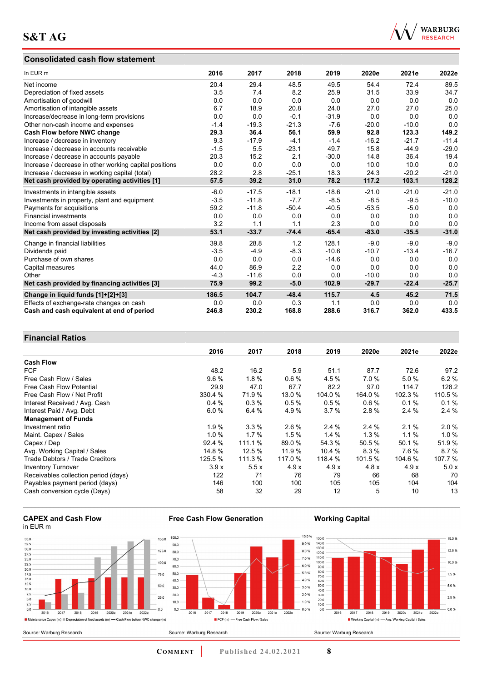#### **Consolidated cash flow statement**



| In EUR m                                               | 2016   | 2017    | 2018    | 2019    | 2020e   | 2021e   | 2022e   |
|--------------------------------------------------------|--------|---------|---------|---------|---------|---------|---------|
| Net income                                             | 20.4   | 29.4    | 48.5    | 49.5    | 54.4    | 72.4    | 89.5    |
| Depreciation of fixed assets                           | 3.5    | 7.4     | 8.2     | 25.9    | 31.5    | 33.9    | 34.7    |
| Amortisation of goodwill                               | 0.0    | 0.0     | 0.0     | 0.0     | 0.0     | 0.0     | 0.0     |
| Amortisation of intangible assets                      | 6.7    | 18.9    | 20.8    | 24.0    | 27.0    | 27.0    | 25.0    |
| Increase/decrease in long-term provisions              | 0.0    | 0.0     | $-0.1$  | $-31.9$ | 0.0     | 0.0     | 0.0     |
| Other non-cash income and expenses                     | $-1.4$ | $-19.3$ | $-21.3$ | $-7.6$  | $-20.0$ | $-10.0$ | 0.0     |
| Cash Flow before NWC change                            | 29.3   | 36.4    | 56.1    | 59.9    | 92.8    | 123.3   | 149.2   |
| Increase / decrease in inventory                       | 9.3    | $-17.9$ | $-4.1$  | $-1.4$  | $-16.2$ | $-21.7$ | $-11.4$ |
| Increase / decrease in accounts receivable             | $-1.5$ | 5.5     | $-23.1$ | 49.7    | 15.8    | $-44.9$ | $-29.0$ |
| Increase / decrease in accounts payable                | 20.3   | 15.2    | 2.1     | $-30.0$ | 14.8    | 36.4    | 19.4    |
| Increase / decrease in other working capital positions | 0.0    | 0.0     | 0.0     | 0.0     | 10.0    | 10.0    | 0.0     |
| Increase / decrease in working capital (total)         | 28.2   | 2.8     | $-25.1$ | 18.3    | 24.3    | $-20.2$ | $-21.0$ |
| Net cash provided by operating activities [1]          | 57.5   | 39.2    | 31.0    | 78.2    | 117.2   | 103.1   | 128.2   |
| Investments in intangible assets                       | $-6.0$ | $-17.5$ | $-18.1$ | $-18.6$ | $-21.0$ | $-21.0$ | $-21.0$ |
| Investments in property, plant and equipment           | $-3.5$ | $-11.8$ | $-7.7$  | $-8.5$  | $-8.5$  | $-9.5$  | $-10.0$ |
| Payments for acquisitions                              | 59.2   | $-11.8$ | $-50.4$ | $-40.5$ | $-53.5$ | $-5.0$  | 0.0     |
| <b>Financial investments</b>                           | 0.0    | 0.0     | 0.0     | 0.0     | 0.0     | 0.0     | 0.0     |
| Income from asset disposals                            | 3.2    | 1.1     | 1.1     | 2.3     | 0.0     | 0.0     | 0.0     |
| Net cash provided by investing activities [2]          | 53.1   | $-33.7$ | $-74.4$ | $-65.4$ | $-83.0$ | $-35.5$ | $-31.0$ |
| Change in financial liabilities                        | 39.8   | 28.8    | 1.2     | 128.1   | $-9.0$  | $-9.0$  | $-9.0$  |
| Dividends paid                                         | $-3.5$ | $-4.9$  | $-8.3$  | $-10.6$ | $-10.7$ | $-13.4$ | $-16.7$ |
| Purchase of own shares                                 | 0.0    | 0.0     | 0.0     | $-14.6$ | 0.0     | 0.0     | 0.0     |
| Capital measures                                       | 44.0   | 86.9    | 2.2     | 0.0     | 0.0     | 0.0     | 0.0     |
| Other                                                  | $-4.3$ | $-11.6$ | 0.0     | 0.0     | $-10.0$ | 0.0     | 0.0     |
| Net cash provided by financing activities [3]          | 75.9   | 99.2    | $-5.0$  | 102.9   | $-29.7$ | $-22.4$ | $-25.7$ |
| Change in liquid funds [1]+[2]+[3]                     | 186.5  | 104.7   | $-48.4$ | 115.7   | 4.5     | 45.2    | 71.5    |
| Effects of exchange-rate changes on cash               | 0.0    | 0.0     | 0.3     | 1.1     | 0.0     | 0.0     | 0.0     |
| Cash and cash equivalent at end of period              | 246.8  | 230.2   | 168.8   | 288.6   | 316.7   | 362.0   | 433.5   |

#### **Financial Ratios**

| T THANGH INANO                       |          |         |         |         |         |         |         |
|--------------------------------------|----------|---------|---------|---------|---------|---------|---------|
|                                      | 2016     | 2017    | 2018    | 2019    | 2020e   | 2021e   | 2022e   |
| <b>Cash Flow</b>                     |          |         |         |         |         |         |         |
| <b>FCF</b>                           | 48.2     | 16.2    | 5.9     | 51.1    | 87.7    | 72.6    | 97.2    |
| Free Cash Flow / Sales               | 9.6%     | 1.8%    | 0.6%    | 4.5 %   | 7.0%    | 5.0%    | 6.2%    |
| <b>Free Cash Flow Potential</b>      | 29.9     | 47.0    | 67.7    | 82.2    | 97.0    | 114.7   | 128.2   |
| Free Cash Flow / Net Profit          | 330.4 %  | 71.9 %  | 13.0 %  | 104.0 % | 164.0 % | 102.3 % | 110.5 % |
| Interest Received / Avg. Cash        | 0.4%     | 0.3%    | 0.5%    | 0.5%    | 0.6%    | 0.1%    | 0.1%    |
| Interest Paid / Avg. Debt            | 6.0%     | 6.4 %   | 4.9%    | 3.7%    | 2.8%    | 2.4%    | 2.4 %   |
| <b>Management of Funds</b>           |          |         |         |         |         |         |         |
| Investment ratio                     | 1.9%     | 3.3%    | $2.6\%$ | 2.4%    | 2.4%    | 2.1%    | 2.0%    |
| Maint. Capex / Sales                 | $1.0 \%$ | 1.7%    | 1.5%    | 1.4%    | 1.3%    | 1.1%    | 1.0%    |
| Capex / Dep                          | 92.4 %   | 111.1 % | 89.0 %  | 54.3 %  | 50.5 %  | 50.1%   | 51.9%   |
| Avg. Working Capital / Sales         | 14.8 %   | 12.5%   | 11.9 %  | 10.4%   | 8.3%    | 7.6%    | 8.7%    |
| Trade Debtors / Trade Creditors      | 125.5 %  | 111.3 % | 117.0 % | 118.4 % | 101.5 % | 104.6 % | 107.7 % |
| <b>Inventory Turnover</b>            | 3.9x     | 5.5x    | 4.9x    | 4.9x    | 4.8x    | 4.9x    | 5.0x    |
| Receivables collection period (days) | 122      | 71      | 76      | 79      | 66      | 68      | 70      |
| Payables payment period (days)       | 146      | 100     | 100     | 105     | 105     | 104     | 104     |
| Cash conversion cycle (Days)         | 58       | 32      | 29      | 12      | 5       | 10      | 13      |

#### **CAPEX and Cash Flow**  in EUR m

Source: Warburg Research



**Free Cash Flow Generation** 

Source: Warburg Research

#### 10.0% 100.0  $9.0%$  $90,0$ 8.0 % 800 7.0 % 70.0 60.0 6.0% 5.0 %  $50.0$  $40.0$  $4.0%$  $3.0%$  $30.0$  $-2.0%$ 20.0  $10.0$ 1.0 %  $_{0.0}$  $0.0%$  $2018$  $\frac{1}{2016}$  $2017$ 2019 2020e  $2021e$ 2022e FCF (m) - Free Cash Flow / Sales

#### **Working Capital**

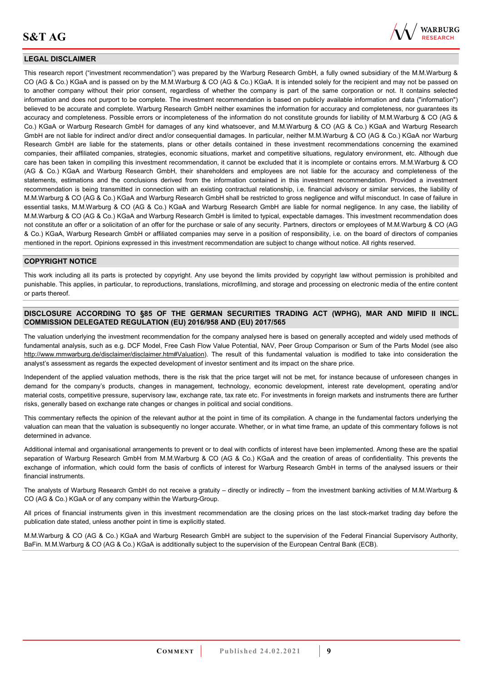

#### **LEGAL DISCLAIMER**

This research report ("investment recommendation") was prepared by the Warburg Research GmbH, a fully owned subsidiary of the M.M.Warburg & CO (AG & Co.) KGaA and is passed on by the M.M.Warburg & CO (AG & Co.) KGaA. It is intended solely for the recipient and may not be passed on to another company without their prior consent, regardless of whether the company is part of the same corporation or not. It contains selected information and does not purport to be complete. The investment recommendation is based on publicly available information and data ("information") believed to be accurate and complete. Warburg Research GmbH neither examines the information for accuracy and completeness, nor guarantees its accuracy and completeness. Possible errors or incompleteness of the information do not constitute grounds for liability of M.M.Warburg & CO (AG & Co.) KGaA or Warburg Research GmbH for damages of any kind whatsoever, and M.M.Warburg & CO (AG & Co.) KGaA and Warburg Research GmbH are not liable for indirect and/or direct and/or consequential damages. In particular, neither M.M.Warburg & CO (AG & Co.) KGaA nor Warburg Research GmbH are liable for the statements, plans or other details contained in these investment recommendations concerning the examined companies, their affiliated companies, strategies, economic situations, market and competitive situations, regulatory environment, etc. Although due care has been taken in compiling this investment recommendation, it cannot be excluded that it is incomplete or contains errors. M.M.Warburg & CO (AG & Co.) KGaA and Warburg Research GmbH, their shareholders and employees are not liable for the accuracy and completeness of the statements, estimations and the conclusions derived from the information contained in this investment recommendation. Provided a investment recommendation is being transmitted in connection with an existing contractual relationship, i.e. financial advisory or similar services, the liability of M.M.Warburg & CO (AG & Co.) KGaA and Warburg Research GmbH shall be restricted to gross negligence and wilful misconduct. In case of failure in essential tasks, M.M.Warburg & CO (AG & Co.) KGaA and Warburg Research GmbH are liable for normal negligence. In any case, the liability of M.M.Warburg & CO (AG & Co.) KGaA and Warburg Research GmbH is limited to typical, expectable damages. This investment recommendation does not constitute an offer or a solicitation of an offer for the purchase or sale of any security. Partners, directors or employees of M.M.Warburg & CO (AG & Co.) KGaA, Warburg Research GmbH or affiliated companies may serve in a position of responsibility, i.e. on the board of directors of companies mentioned in the report. Opinions expressed in this investment recommendation are subject to change without notice. All rights reserved.

#### **COPYRIGHT NOTICE**

This work including all its parts is protected by copyright. Any use beyond the limits provided by copyright law without permission is prohibited and punishable. This applies, in particular, to reproductions, translations, microfilming, and storage and processing on electronic media of the entire content or parts thereof.

#### **DISCLOSURE ACCORDING TO §85 OF THE GERMAN SECURITIES TRADING ACT (WPHG), MAR AND MIFID II INCL. COMMISSION DELEGATED REGULATION (EU) 2016/958 AND (EU) 2017/565**

The valuation underlying the investment recommendation for the company analysed here is based on generally accepted and widely used methods of fundamental analysis, such as e.g. DCF Model, Free Cash Flow Value Potential, NAV, Peer Group Comparison or Sum of the Parts Model (see also [http://www.mmwarburg.de/disclaimer/disclaimer.htm#Valuation\)](http://www.mmwarburg.de/disclaimer/disclaimer.htm#Valuation). The result of this fundamental valuation is modified to take into consideration the analyst's assessment as regards the expected development of investor sentiment and its impact on the share price.

Independent of the applied valuation methods, there is the risk that the price target will not be met, for instance because of unforeseen changes in demand for the company's products, changes in management, technology, economic development, interest rate development, operating and/or material costs, competitive pressure, supervisory law, exchange rate, tax rate etc. For investments in foreign markets and instruments there are further risks, generally based on exchange rate changes or changes in political and social conditions.

This commentary reflects the opinion of the relevant author at the point in time of its compilation. A change in the fundamental factors underlying the valuation can mean that the valuation is subsequently no longer accurate. Whether, or in what time frame, an update of this commentary follows is not determined in advance.

Additional internal and organisational arrangements to prevent or to deal with conflicts of interest have been implemented. Among these are the spatial separation of Warburg Research GmbH from M.M.Warburg & CO (AG & Co.) KGaA and the creation of areas of confidentiality. This prevents the exchange of information, which could form the basis of conflicts of interest for Warburg Research GmbH in terms of the analysed issuers or their financial instruments.

The analysts of Warburg Research GmbH do not receive a gratuity – directly or indirectly – from the investment banking activities of M.M.Warburg & CO (AG & Co.) KGaA or of any company within the Warburg-Group.

All prices of financial instruments given in this investment recommendation are the closing prices on the last stock-market trading day before the publication date stated, unless another point in time is explicitly stated.

M.M.Warburg & CO (AG & Co.) KGaA and Warburg Research GmbH are subject to the supervision of the Federal Financial Supervisory Authority, BaFin. M.M.Warburg & CO (AG & Co.) KGaA is additionally subject to the supervision of the European Central Bank (ECB).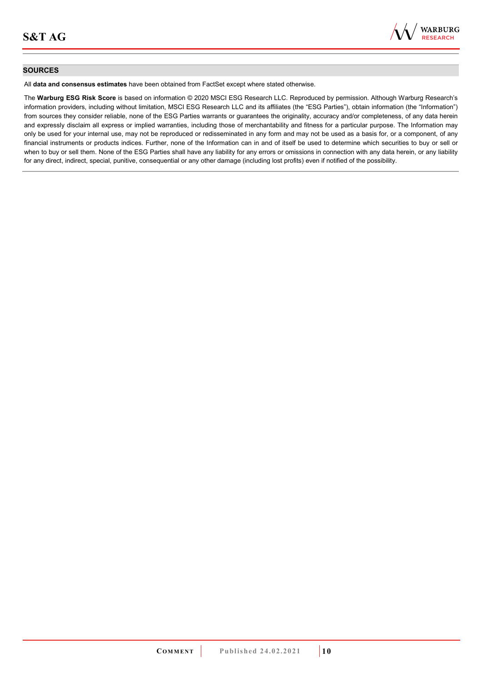

#### **SOURCES**

All **data and consensus estimates** have been obtained from FactSet except where stated otherwise.

The **Warburg ESG Risk Score** is based on information © 2020 MSCI ESG Research LLC. Reproduced by permission. Although Warburg Research's information providers, including without limitation, MSCI ESG Research LLC and its affiliates (the "ESG Parties"), obtain information (the "Information") from sources they consider reliable, none of the ESG Parties warrants or guarantees the originality, accuracy and/or completeness, of any data herein and expressly disclaim all express or implied warranties, including those of merchantability and fitness for a particular purpose. The Information may only be used for your internal use, may not be reproduced or redisseminated in any form and may not be used as a basis for, or a component, of any financial instruments or products indices. Further, none of the Information can in and of itself be used to determine which securities to buy or sell or when to buy or sell them. None of the ESG Parties shall have any liability for any errors or omissions in connection with any data herein, or any liability for any direct, indirect, special, punitive, consequential or any other damage (including lost profits) even if notified of the possibility.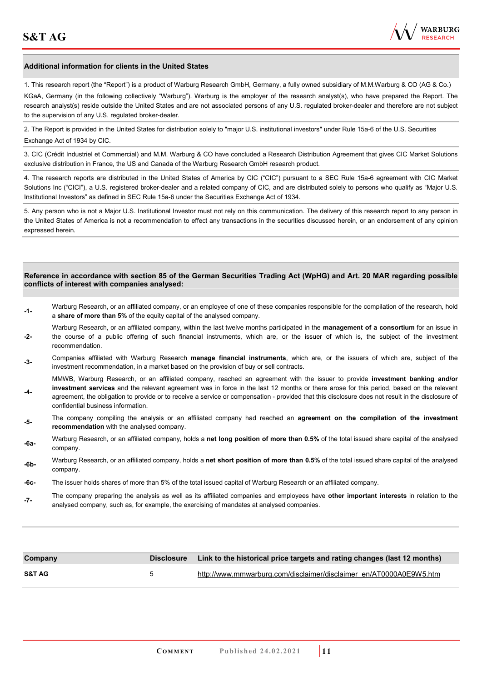**-4-** 

confidential business information.



#### **Additional information for clients in the United States**

1. This research report (the "Report") is a product of Warburg Research GmbH, Germany, a fully owned subsidiary of M.M.Warburg & CO (AG & Co.)

KGaA, Germany (in the following collectively "Warburg"). Warburg is the employer of the research analyst(s), who have prepared the Report. The research analyst(s) reside outside the United States and are not associated persons of any U.S. regulated broker-dealer and therefore are not subject to the supervision of any U.S. regulated broker-dealer.

2. The Report is provided in the United States for distribution solely to "major U.S. institutional investors" under Rule 15a-6 of the U.S. Securities Exchange Act of 1934 by CIC.

3. CIC (Crédit Industriel et Commercial) and M.M. Warburg & CO have concluded a Research Distribution Agreement that gives CIC Market Solutions exclusive distribution in France, the US and Canada of the Warburg Research GmbH research product.

4. The research reports are distributed in the United States of America by CIC ("CIC") pursuant to a SEC Rule 15a-6 agreement with CIC Market Solutions Inc ("CICI"), a U.S. registered broker-dealer and a related company of CIC, and are distributed solely to persons who qualify as "Major U.S. Institutional Investors" as defined in SEC Rule 15a-6 under the Securities Exchange Act of 1934.

5. Any person who is not a Major U.S. Institutional Investor must not rely on this communication. The delivery of this research report to any person in the United States of America is not a recommendation to effect any transactions in the securities discussed herein, or an endorsement of any opinion expressed herein.

#### **Reference in accordance with section 85 of the German Securities Trading Act (WpHG) and Art. 20 MAR regarding possible conflicts of interest with companies analysed:**

- **-1-** Warburg Research, or an affiliated company, or an employee of one of these companies responsible for the compilation of the research, hold a **share of more than 5%** of the equity capital of the analysed company.
- **-2-**  Warburg Research, or an affiliated company, within the last twelve months participated in the **management of a consortium** for an issue in the course of a public offering of such financial instruments, which are, or the issuer of which is, the subject of the investment recommendation.
- **-3-** Companies affiliated with Warburg Research **manage financial instruments**, which are, or the issuers of which are, subject of the investment recommendation, in a market based on the provision of buy or sell contracts.

MMWB, Warburg Research, or an affiliated company, reached an agreement with the issuer to provide **investment banking and/or investment services** and the relevant agreement was in force in the last 12 months or there arose for this period, based on the relevant agreement, the obligation to provide or to receive a service or compensation - provided that this disclosure does not result in the disclosure of

- **-5-** The company compiling the analysis or an affiliated company had reached an **agreement on the compilation of the investment recommendation** with the analysed company.
- **-6a-** Warburg Research, or an affiliated company, holds a **net long position of more than 0.5%** of the total issued share capital of the analysed company.
- **-6b-** Warburg Research, or an affiliated company, holds a **net short position of more than 0.5%** of the total issued share capital of the analysed company.
- **-6c-** The issuer holds shares of more than 5% of the total issued capital of Warburg Research or an affiliated company.
- **-7-** The company preparing the analysis as well as its affiliated companies and employees have **other important interests** in relation to the analysed company, such as, for example, the exercising of mandates at analysed companies.

| Company           |    | Disclosure Link to the historical price targets and rating changes (last 12 months) |
|-------------------|----|-------------------------------------------------------------------------------------|
| <b>S&amp;T AG</b> | b. | http://www.mmwarburg.com/disclaimer/disclaimer_en/AT0000A0E9W5.htm                  |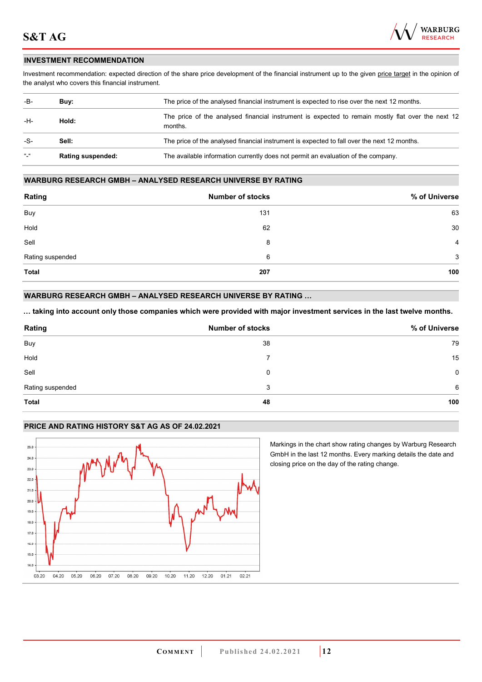

#### **INVESTMENT RECOMMENDATION**

Investment recommendation: expected direction of the share price development of the financial instrument up to the given price target in the opinion of the analyst who covers this financial instrument.

| -B-               | Buv:                     | The price of the analysed financial instrument is expected to rise over the next 12 months.                  |
|-------------------|--------------------------|--------------------------------------------------------------------------------------------------------------|
| -H-               | Hold:                    | The price of the analysed financial instrument is expected to remain mostly flat over the next 12<br>months. |
| -S-               | Sell:                    | The price of the analysed financial instrument is expected to fall over the next 12 months.                  |
| $\alpha$ $\alpha$ | <b>Rating suspended:</b> | The available information currently does not permit an evaluation of the company.                            |

#### **WARBURG RESEARCH GMBH – ANALYSED RESEARCH UNIVERSE BY RATING**

| Rating           | <b>Number of stocks</b> | % of Universe  |
|------------------|-------------------------|----------------|
| Buy              | 131                     | 63             |
| Hold             | 62                      | 30             |
| Sell             | 8                       | $\overline{4}$ |
| Rating suspended | 6                       | 3              |
| <b>Total</b>     | 207                     | 100            |

#### **WARBURG RESEARCH GMBH – ANALYSED RESEARCH UNIVERSE BY RATING …**

**… taking into account only those companies which were provided with major investment services in the last twelve months.** 

| Rating           | <b>Number of stocks</b> | % of Universe |
|------------------|-------------------------|---------------|
| Buy              | 38                      | 79            |
| Hold             |                         | 15            |
| Sell             | 0                       | 0             |
| Rating suspended | 3                       | 6             |
| <b>Total</b>     | 48                      | 100           |

#### **PRICE AND RATING HISTORY S&T AG AS OF 24.02.2021**



Markings in the chart show rating changes by Warburg Research GmbH in the last 12 months. Every marking details the date and closing price on the day of the rating change.